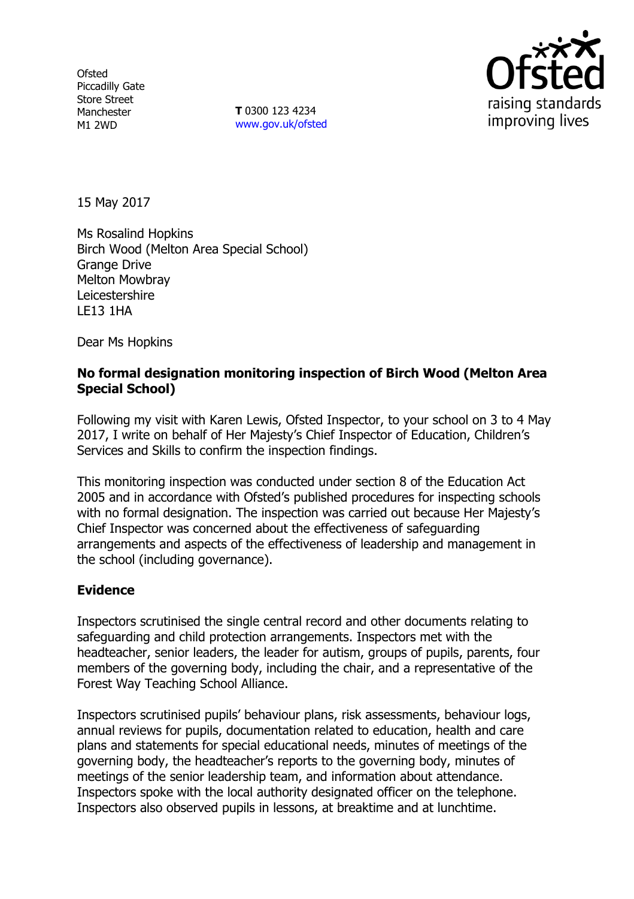**Ofsted** Piccadilly Gate Store Street Manchester M1 2WD

**T** 0300 123 4234 www.gov.uk/ofsted



15 May 2017

Ms Rosalind Hopkins Birch Wood (Melton Area Special School) Grange Drive Melton Mowbray Leicestershire LE13 1HA

Dear Ms Hopkins

# **No formal designation monitoring inspection of Birch Wood (Melton Area Special School)**

Following my visit with Karen Lewis, Ofsted Inspector, to your school on 3 to 4 May 2017, I write on behalf of Her Majesty's Chief Inspector of Education, Children's Services and Skills to confirm the inspection findings.

This monitoring inspection was conducted under section 8 of the Education Act 2005 and in accordance with Ofsted's published procedures for inspecting schools with no formal designation. The inspection was carried out because Her Majesty's Chief Inspector was concerned about the effectiveness of safeguarding arrangements and aspects of the effectiveness of leadership and management in the school (including governance).

## **Evidence**

Inspectors scrutinised the single central record and other documents relating to safeguarding and child protection arrangements. Inspectors met with the headteacher, senior leaders, the leader for autism, groups of pupils, parents, four members of the governing body, including the chair, and a representative of the Forest Way Teaching School Alliance.

Inspectors scrutinised pupils' behaviour plans, risk assessments, behaviour logs, annual reviews for pupils, documentation related to education, health and care plans and statements for special educational needs, minutes of meetings of the governing body, the headteacher's reports to the governing body, minutes of meetings of the senior leadership team, and information about attendance. Inspectors spoke with the local authority designated officer on the telephone. Inspectors also observed pupils in lessons, at breaktime and at lunchtime.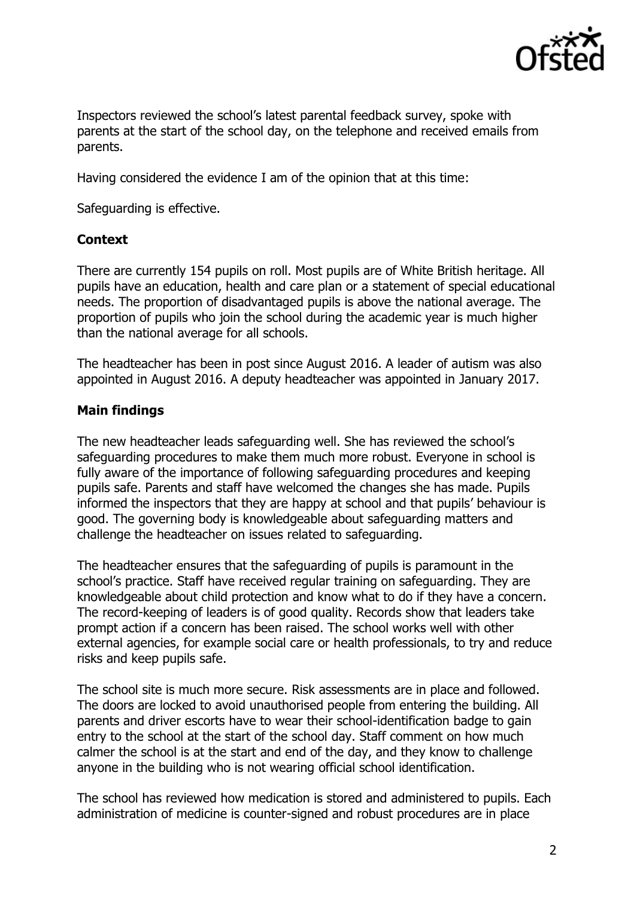

Inspectors reviewed the school's latest parental feedback survey, spoke with parents at the start of the school day, on the telephone and received emails from parents.

Having considered the evidence I am of the opinion that at this time:

Safeguarding is effective.

### **Context**

There are currently 154 pupils on roll. Most pupils are of White British heritage. All pupils have an education, health and care plan or a statement of special educational needs. The proportion of disadvantaged pupils is above the national average. The proportion of pupils who join the school during the academic year is much higher than the national average for all schools.

The headteacher has been in post since August 2016. A leader of autism was also appointed in August 2016. A deputy headteacher was appointed in January 2017.

## **Main findings**

The new headteacher leads safeguarding well. She has reviewed the school's safeguarding procedures to make them much more robust. Everyone in school is fully aware of the importance of following safeguarding procedures and keeping pupils safe. Parents and staff have welcomed the changes she has made. Pupils informed the inspectors that they are happy at school and that pupils' behaviour is good. The governing body is knowledgeable about safeguarding matters and challenge the headteacher on issues related to safeguarding.

The headteacher ensures that the safeguarding of pupils is paramount in the school's practice. Staff have received regular training on safeguarding. They are knowledgeable about child protection and know what to do if they have a concern. The record-keeping of leaders is of good quality. Records show that leaders take prompt action if a concern has been raised. The school works well with other external agencies, for example social care or health professionals, to try and reduce risks and keep pupils safe.

The school site is much more secure. Risk assessments are in place and followed. The doors are locked to avoid unauthorised people from entering the building. All parents and driver escorts have to wear their school-identification badge to gain entry to the school at the start of the school day. Staff comment on how much calmer the school is at the start and end of the day, and they know to challenge anyone in the building who is not wearing official school identification.

The school has reviewed how medication is stored and administered to pupils. Each administration of medicine is counter-signed and robust procedures are in place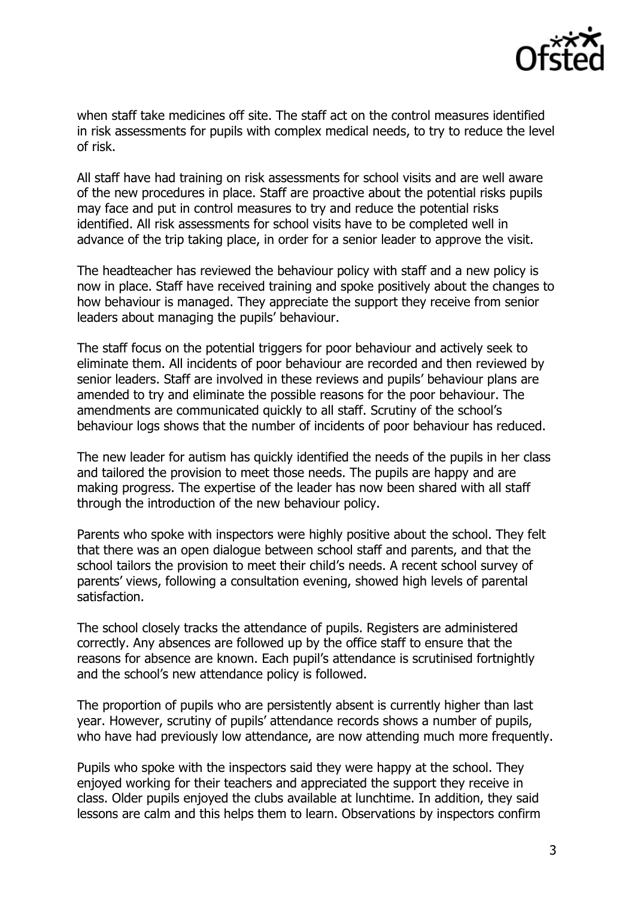

when staff take medicines off site. The staff act on the control measures identified in risk assessments for pupils with complex medical needs, to try to reduce the level of risk.

All staff have had training on risk assessments for school visits and are well aware of the new procedures in place. Staff are proactive about the potential risks pupils may face and put in control measures to try and reduce the potential risks identified. All risk assessments for school visits have to be completed well in advance of the trip taking place, in order for a senior leader to approve the visit.

The headteacher has reviewed the behaviour policy with staff and a new policy is now in place. Staff have received training and spoke positively about the changes to how behaviour is managed. They appreciate the support they receive from senior leaders about managing the pupils' behaviour.

The staff focus on the potential triggers for poor behaviour and actively seek to eliminate them. All incidents of poor behaviour are recorded and then reviewed by senior leaders. Staff are involved in these reviews and pupils' behaviour plans are amended to try and eliminate the possible reasons for the poor behaviour. The amendments are communicated quickly to all staff. Scrutiny of the school's behaviour logs shows that the number of incidents of poor behaviour has reduced.

The new leader for autism has quickly identified the needs of the pupils in her class and tailored the provision to meet those needs. The pupils are happy and are making progress. The expertise of the leader has now been shared with all staff through the introduction of the new behaviour policy.

Parents who spoke with inspectors were highly positive about the school. They felt that there was an open dialogue between school staff and parents, and that the school tailors the provision to meet their child's needs. A recent school survey of parents' views, following a consultation evening, showed high levels of parental satisfaction.

The school closely tracks the attendance of pupils. Registers are administered correctly. Any absences are followed up by the office staff to ensure that the reasons for absence are known. Each pupil's attendance is scrutinised fortnightly and the school's new attendance policy is followed.

The proportion of pupils who are persistently absent is currently higher than last year. However, scrutiny of pupils' attendance records shows a number of pupils, who have had previously low attendance, are now attending much more frequently.

Pupils who spoke with the inspectors said they were happy at the school. They enjoyed working for their teachers and appreciated the support they receive in class. Older pupils enjoyed the clubs available at lunchtime. In addition, they said lessons are calm and this helps them to learn. Observations by inspectors confirm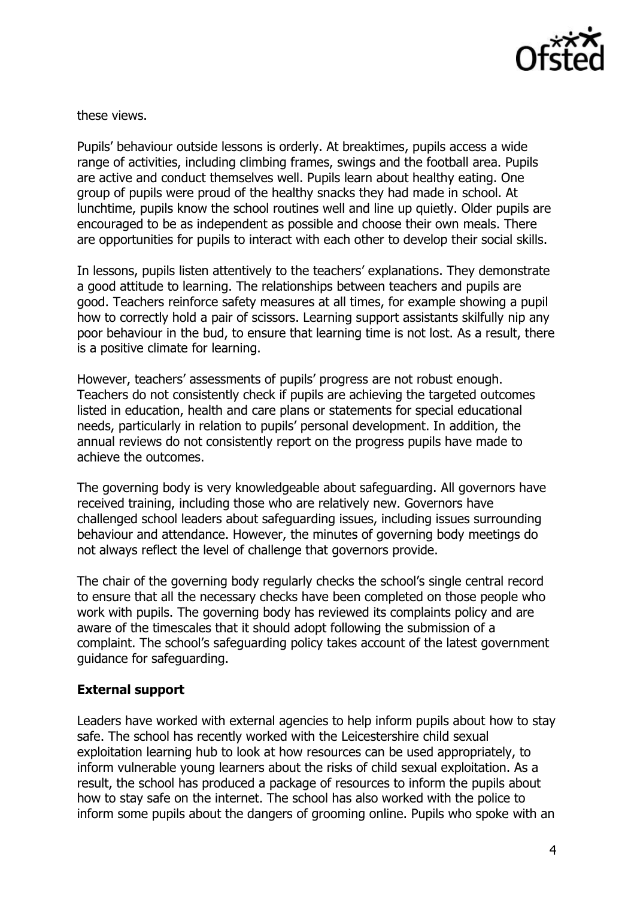

these views.

Pupils' behaviour outside lessons is orderly. At breaktimes, pupils access a wide range of activities, including climbing frames, swings and the football area. Pupils are active and conduct themselves well. Pupils learn about healthy eating. One group of pupils were proud of the healthy snacks they had made in school. At lunchtime, pupils know the school routines well and line up quietly. Older pupils are encouraged to be as independent as possible and choose their own meals. There are opportunities for pupils to interact with each other to develop their social skills.

In lessons, pupils listen attentively to the teachers' explanations. They demonstrate a good attitude to learning. The relationships between teachers and pupils are good. Teachers reinforce safety measures at all times, for example showing a pupil how to correctly hold a pair of scissors. Learning support assistants skilfully nip any poor behaviour in the bud, to ensure that learning time is not lost. As a result, there is a positive climate for learning.

However, teachers' assessments of pupils' progress are not robust enough. Teachers do not consistently check if pupils are achieving the targeted outcomes listed in education, health and care plans or statements for special educational needs, particularly in relation to pupils' personal development. In addition, the annual reviews do not consistently report on the progress pupils have made to achieve the outcomes.

The governing body is very knowledgeable about safeguarding. All governors have received training, including those who are relatively new. Governors have challenged school leaders about safeguarding issues, including issues surrounding behaviour and attendance. However, the minutes of governing body meetings do not always reflect the level of challenge that governors provide.

The chair of the governing body regularly checks the school's single central record to ensure that all the necessary checks have been completed on those people who work with pupils. The governing body has reviewed its complaints policy and are aware of the timescales that it should adopt following the submission of a complaint. The school's safeguarding policy takes account of the latest government guidance for safeguarding.

## **External support**

Leaders have worked with external agencies to help inform pupils about how to stay safe. The school has recently worked with the Leicestershire child sexual exploitation learning hub to look at how resources can be used appropriately, to inform vulnerable young learners about the risks of child sexual exploitation. As a result, the school has produced a package of resources to inform the pupils about how to stay safe on the internet. The school has also worked with the police to inform some pupils about the dangers of grooming online. Pupils who spoke with an